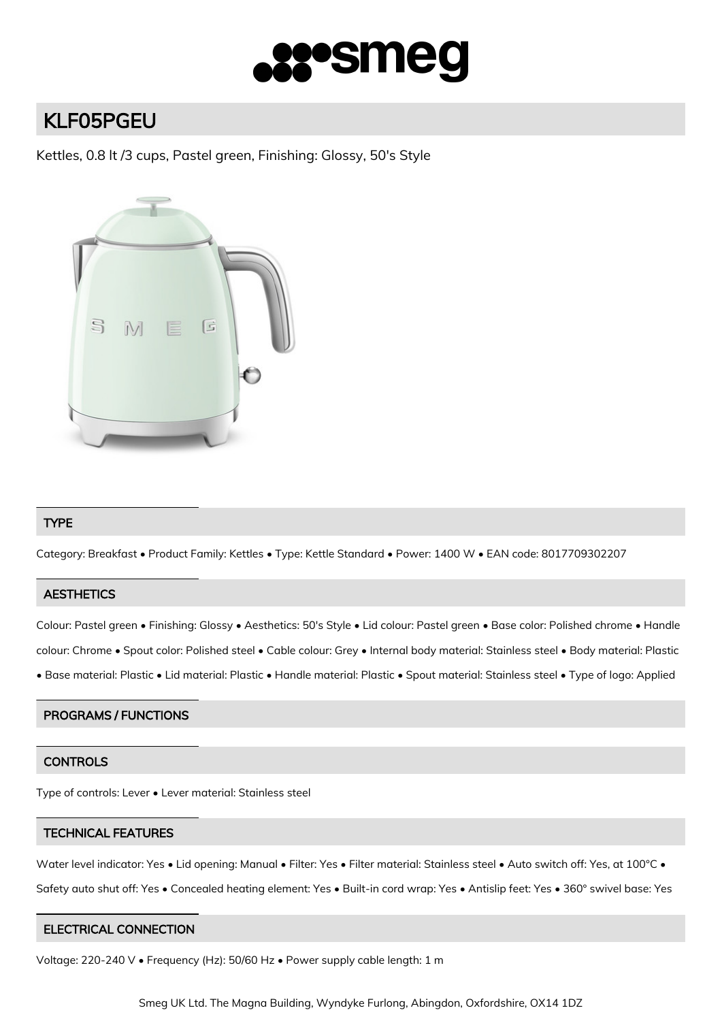

# KLF05PGEU

Kettles, 0.8 lt /3 cups, Pastel green, Finishing: Glossy, 50's Style



## TYPE

Category: Breakfast • Product Family: Kettles • Type: Kettle Standard • Power: 1400 W • EAN code: 8017709302207

## **AESTHETICS**

Colour: Pastel green • Finishing: Glossy • Aesthetics: 50's Style • Lid colour: Pastel green • Base color: Polished chrome • Handle colour: Chrome • Spout color: Polished steel • Cable colour: Grey • Internal body material: Stainless steel • Body material: Plastic • Base material: Plastic • Lid material: Plastic • Handle material: Plastic • Spout material: Stainless steel • Type of logo: Applied

## PROGRAMS / FUNCTIONS

### **CONTROLS**

Type of controls: Lever • Lever material: Stainless steel

#### TECHNICAL FEATURES

Water level indicator: Yes • Lid opening: Manual • Filter: Yes • Filter material: Stainless steel • Auto switch off: Yes, at 100°C • Safety auto shut off: Yes • Concealed heating element: Yes • Built-in cord wrap: Yes • Antislip feet: Yes • 360° swivel base: Yes

#### ELECTRICAL CONNECTION

Voltage: 220-240 V • Frequency (Hz): 50/60 Hz • Power supply cable length: 1 m

Smeg UK Ltd. The Magna Building, Wyndyke Furlong, Abingdon, Oxfordshire, OX14 1DZ